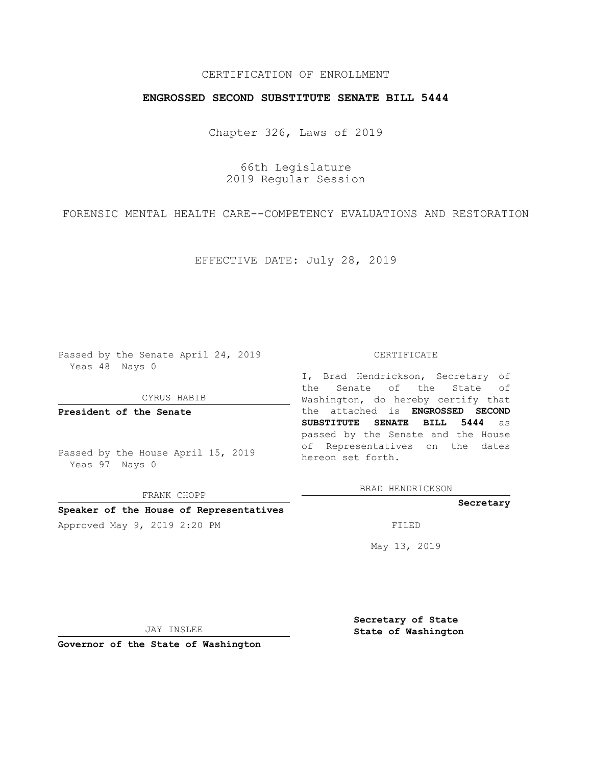# CERTIFICATION OF ENROLLMENT

## **ENGROSSED SECOND SUBSTITUTE SENATE BILL 5444**

Chapter 326, Laws of 2019

66th Legislature 2019 Regular Session

FORENSIC MENTAL HEALTH CARE--COMPETENCY EVALUATIONS AND RESTORATION

EFFECTIVE DATE: July 28, 2019

Passed by the Senate April 24, 2019 Yeas 48 Nays 0

CYRUS HABIB

**President of the Senate**

Passed by the House April 15, 2019 Yeas 97 Nays 0

FRANK CHOPP

## **Speaker of the House of Representatives**

Approved May 9, 2019 2:20 PM

#### CERTIFICATE

I, Brad Hendrickson, Secretary of the Senate of the State of Washington, do hereby certify that the attached is **ENGROSSED SECOND SUBSTITUTE SENATE BILL 5444** as passed by the Senate and the House of Representatives on the dates hereon set forth.

BRAD HENDRICKSON

#### **Secretary**

May 13, 2019

JAY INSLEE

**Governor of the State of Washington**

**Secretary of State State of Washington**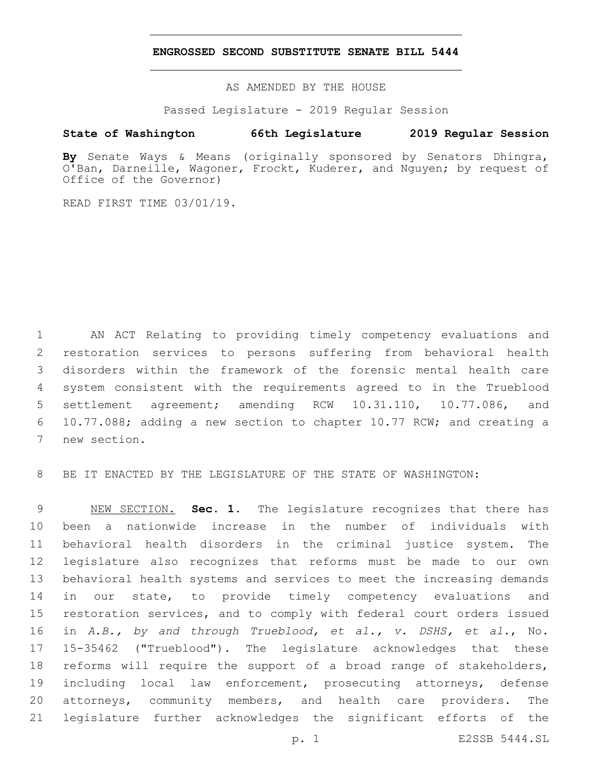## **ENGROSSED SECOND SUBSTITUTE SENATE BILL 5444**

AS AMENDED BY THE HOUSE

Passed Legislature - 2019 Regular Session

## **State of Washington 66th Legislature 2019 Regular Session**

**By** Senate Ways & Means (originally sponsored by Senators Dhingra, O'Ban, Darneille, Wagoner, Frockt, Kuderer, and Nguyen; by request of Office of the Governor)

READ FIRST TIME 03/01/19.

 AN ACT Relating to providing timely competency evaluations and restoration services to persons suffering from behavioral health disorders within the framework of the forensic mental health care system consistent with the requirements agreed to in the Trueblood settlement agreement; amending RCW 10.31.110, 10.77.086, and 10.77.088; adding a new section to chapter 10.77 RCW; and creating a 7 new section.

BE IT ENACTED BY THE LEGISLATURE OF THE STATE OF WASHINGTON:

 NEW SECTION. **Sec. 1.** The legislature recognizes that there has been a nationwide increase in the number of individuals with behavioral health disorders in the criminal justice system. The legislature also recognizes that reforms must be made to our own behavioral health systems and services to meet the increasing demands 14 in our state, to provide timely competency evaluations and restoration services, and to comply with federal court orders issued in *A.B., by and through Trueblood, et al., v. DSHS, et al.*, No. 15-35462 ("Trueblood"). The legislature acknowledges that these reforms will require the support of a broad range of stakeholders, including local law enforcement, prosecuting attorneys, defense attorneys, community members, and health care providers. The legislature further acknowledges the significant efforts of the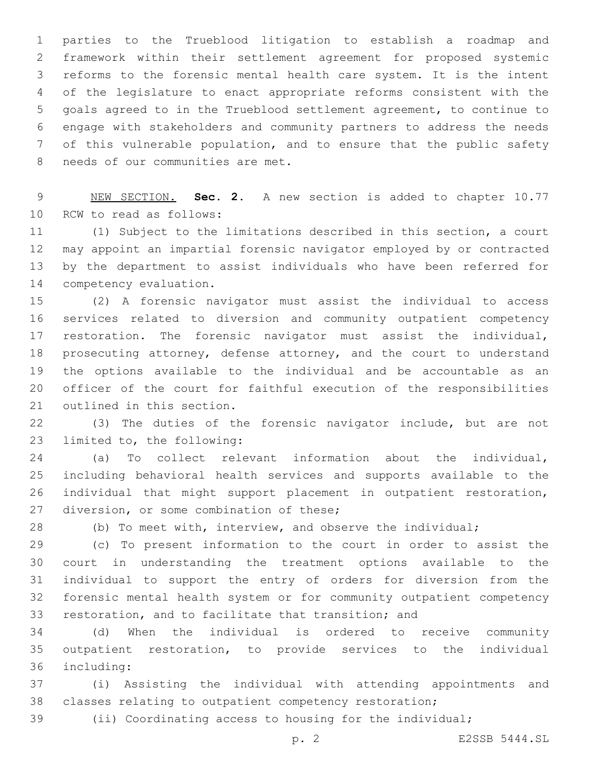parties to the Trueblood litigation to establish a roadmap and framework within their settlement agreement for proposed systemic reforms to the forensic mental health care system. It is the intent of the legislature to enact appropriate reforms consistent with the goals agreed to in the Trueblood settlement agreement, to continue to engage with stakeholders and community partners to address the needs of this vulnerable population, and to ensure that the public safety 8 needs of our communities are met.

 NEW SECTION. **Sec. 2.** A new section is added to chapter 10.77 10 RCW to read as follows:

 (1) Subject to the limitations described in this section, a court may appoint an impartial forensic navigator employed by or contracted by the department to assist individuals who have been referred for 14 competency evaluation.

 (2) A forensic navigator must assist the individual to access services related to diversion and community outpatient competency restoration. The forensic navigator must assist the individual, prosecuting attorney, defense attorney, and the court to understand the options available to the individual and be accountable as an officer of the court for faithful execution of the responsibilities 21 outlined in this section.

 (3) The duties of the forensic navigator include, but are not 23 limited to, the following:

 (a) To collect relevant information about the individual, including behavioral health services and supports available to the individual that might support placement in outpatient restoration, 27 diversion, or some combination of these;

(b) To meet with, interview, and observe the individual;

 (c) To present information to the court in order to assist the court in understanding the treatment options available to the individual to support the entry of orders for diversion from the forensic mental health system or for community outpatient competency restoration, and to facilitate that transition; and

 (d) When the individual is ordered to receive community outpatient restoration, to provide services to the individual including:36

 (i) Assisting the individual with attending appointments and classes relating to outpatient competency restoration;

(ii) Coordinating access to housing for the individual;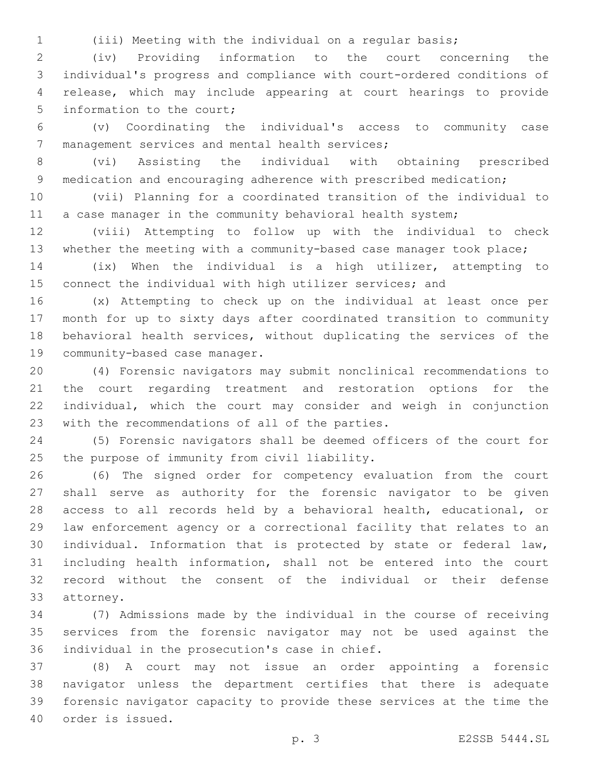(iii) Meeting with the individual on a regular basis;

 (iv) Providing information to the court concerning the individual's progress and compliance with court-ordered conditions of release, which may include appearing at court hearings to provide 5 information to the court;

 (v) Coordinating the individual's access to community case 7 management services and mental health services;

 (vi) Assisting the individual with obtaining prescribed 9 medication and encouraging adherence with prescribed medication;

 (vii) Planning for a coordinated transition of the individual to 11 a case manager in the community behavioral health system;

 (viii) Attempting to follow up with the individual to check whether the meeting with a community-based case manager took place;

 (ix) When the individual is a high utilizer, attempting to connect the individual with high utilizer services; and

 (x) Attempting to check up on the individual at least once per month for up to sixty days after coordinated transition to community behavioral health services, without duplicating the services of the 19 community-based case manager.

 (4) Forensic navigators may submit nonclinical recommendations to the court regarding treatment and restoration options for the individual, which the court may consider and weigh in conjunction 23 with the recommendations of all of the parties.

 (5) Forensic navigators shall be deemed officers of the court for 25 the purpose of immunity from civil liability.

 (6) The signed order for competency evaluation from the court shall serve as authority for the forensic navigator to be given access to all records held by a behavioral health, educational, or law enforcement agency or a correctional facility that relates to an individual. Information that is protected by state or federal law, including health information, shall not be entered into the court record without the consent of the individual or their defense 33 attorney.

 (7) Admissions made by the individual in the course of receiving services from the forensic navigator may not be used against the 36 individual in the prosecution's case in chief.

 (8) A court may not issue an order appointing a forensic navigator unless the department certifies that there is adequate forensic navigator capacity to provide these services at the time the 40 order is issued.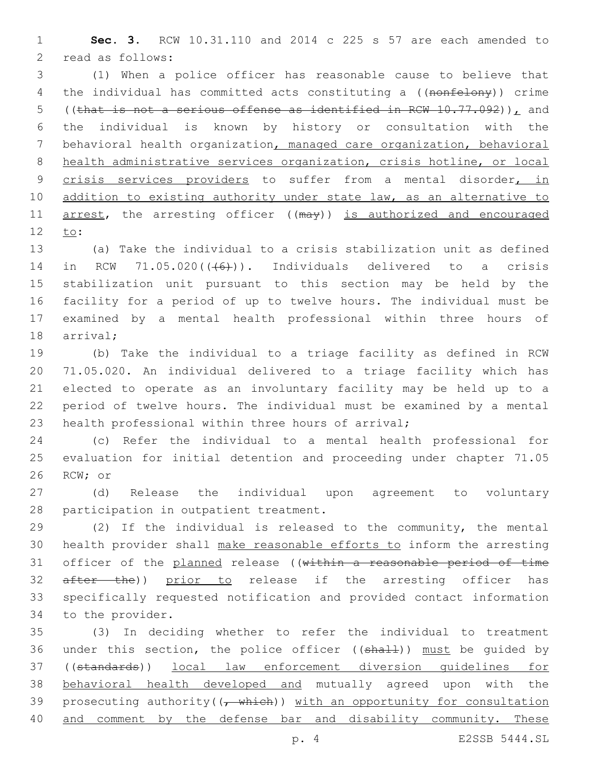1 **Sec. 3.** RCW 10.31.110 and 2014 c 225 s 57 are each amended to 2 read as follows:

3 (1) When a police officer has reasonable cause to believe that 4 the individual has committed acts constituting a ((nonfelony)) crime 5 ((that is not a serious offense as identified in RCW 10.77.092)), and 6 the individual is known by history or consultation with the 7 behavioral health organization, managed care organization, behavioral 8 health administrative services organization, crisis hotline, or local 9 crisis services providers to suffer from a mental disorder, in 10 addition to existing authority under state law, as an alternative to 11 arrest, the arresting officer ((may)) is authorized and encouraged 12 to:

 (a) Take the individual to a crisis stabilization unit as defined 14 in RCW  $71.05.020$  ( $(46)$ )). Individuals delivered to a crisis stabilization unit pursuant to this section may be held by the facility for a period of up to twelve hours. The individual must be examined by a mental health professional within three hours of 18 arrival;

 (b) Take the individual to a triage facility as defined in RCW 71.05.020. An individual delivered to a triage facility which has elected to operate as an involuntary facility may be held up to a period of twelve hours. The individual must be examined by a mental health professional within three hours of arrival;

24 (c) Refer the individual to a mental health professional for 25 evaluation for initial detention and proceeding under chapter 71.05 26 RCW; or

27 (d) Release the individual upon agreement to voluntary 28 participation in outpatient treatment.

29 (2) If the individual is released to the community, the mental 30 health provider shall make reasonable efforts to inform the arresting 31 officer of the planned release ((within a reasonable period of time 32 after the)) prior to release if the arresting officer has 33 specifically requested notification and provided contact information 34 to the provider.

35 (3) In deciding whether to refer the individual to treatment 36 under this section, the police officer ((shall)) must be quided by 37 ((standards)) local law enforcement diversion guidelines for 38 behavioral health developed and mutually agreed upon with the 39 prosecuting authority  $((\tau + \text{white}) )$  with an opportunity for consultation 40 and comment by the defense bar and disability community. These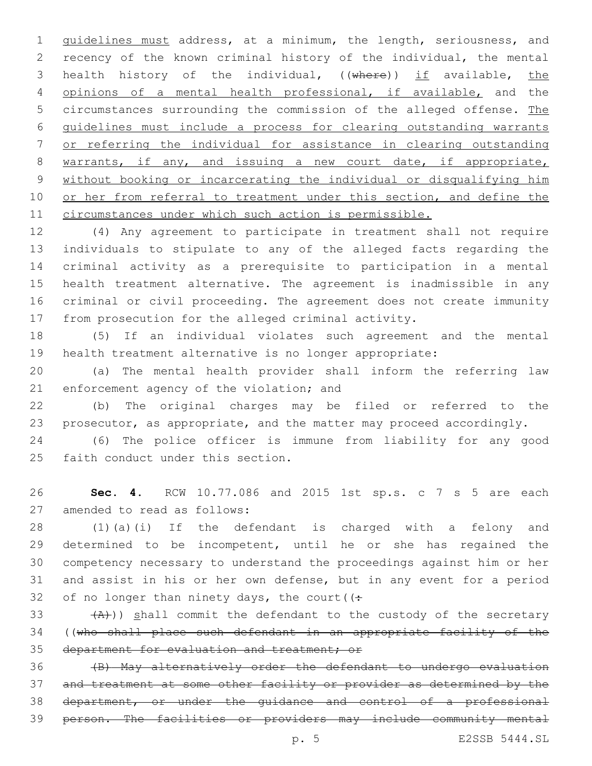guidelines must address, at a minimum, the length, seriousness, and recency of the known criminal history of the individual, the mental 3 health history of the individual, ((where)) if available, the opinions of a mental health professional, if available, and the 5 circumstances surrounding the commission of the alleged offense. The guidelines must include a process for clearing outstanding warrants or referring the individual for assistance in clearing outstanding warrants, if any, and issuing a new court date, if appropriate, without booking or incarcerating the individual or disqualifying him 10 or her from referral to treatment under this section, and define the circumstances under which such action is permissible.

 (4) Any agreement to participate in treatment shall not require individuals to stipulate to any of the alleged facts regarding the criminal activity as a prerequisite to participation in a mental health treatment alternative. The agreement is inadmissible in any criminal or civil proceeding. The agreement does not create immunity from prosecution for the alleged criminal activity.

 (5) If an individual violates such agreement and the mental health treatment alternative is no longer appropriate:

 (a) The mental health provider shall inform the referring law 21 enforcement agency of the violation; and

 (b) The original charges may be filed or referred to the prosecutor, as appropriate, and the matter may proceed accordingly.

 (6) The police officer is immune from liability for any good 25 faith conduct under this section.

 **Sec. 4.** RCW 10.77.086 and 2015 1st sp.s. c 7 s 5 are each 27 amended to read as follows:

 (1)(a)(i) If the defendant is charged with a felony and determined to be incompetent, until he or she has regained the competency necessary to understand the proceedings against him or her and assist in his or her own defense, but in any event for a period 32 of no longer than ninety days, the court  $($ :

 $(33 \left( \frac{A}{A} \right))$  shall commit the defendant to the custody of the secretary ((who shall place such defendant in an appropriate facility of the department for evaluation and treatment; or

 (B) May alternatively order the defendant to undergo evaluation and treatment at some other facility or provider as determined by the department, or under the guidance and control of a professional person. The facilities or providers may include community mental

p. 5 E2SSB 5444.SL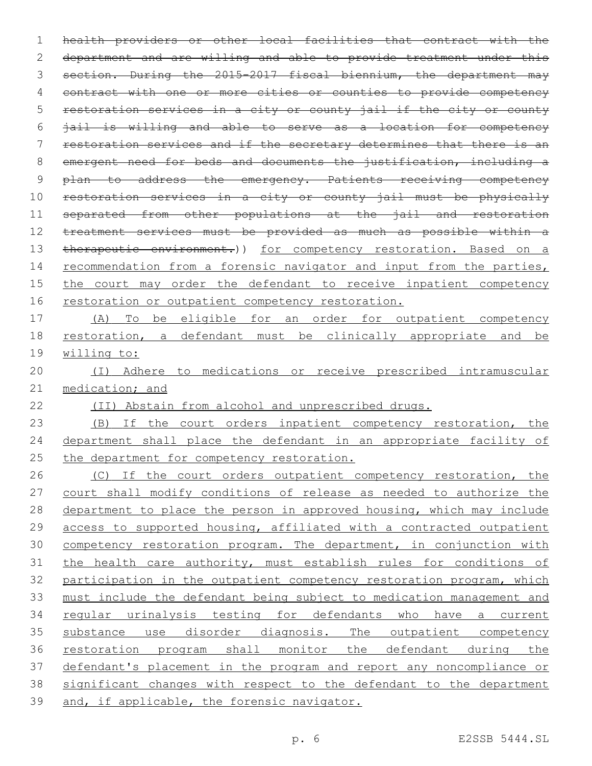health providers or other local facilities that contract with the department and are willing and able to provide treatment under this 3 section. During the 2015-2017 fiscal biennium, the department may contract with one or more cities or counties to provide competency restoration services in a city or county jail if the city or county jail is willing and able to serve as a location for competency restoration services and if the secretary determines that there is an emergent need for beds and documents the justification, including a 9 plan to address the emergency. Patients receiving competency restoration services in a city or county jail must be physically 11 separated from other populations at the jail and restoration treatment services must be provided as much as possible within a 13 therapeutic environment.)) for competency restoration. Based on a 14 recommendation from a forensic navigator and input from the parties, the court may order the defendant to receive inpatient competency restoration or outpatient competency restoration. (A) To be eligible for an order for outpatient competency restoration, a defendant must be clinically appropriate and be willing to: (I) Adhere to medications or receive prescribed intramuscular 21 medication; and

(II) Abstain from alcohol and unprescribed drugs.

 (B) If the court orders inpatient competency restoration, the 24 department shall place the defendant in an appropriate facility of the department for competency restoration.

26 (C) If the court orders outpatient competency restoration, the 27 court shall modify conditions of release as needed to authorize the department to place the person in approved housing, which may include access to supported housing, affiliated with a contracted outpatient competency restoration program. The department, in conjunction with 31 the health care authority, must establish rules for conditions of participation in the outpatient competency restoration program, which must include the defendant being subject to medication management and regular urinalysis testing for defendants who have a current substance use disorder diagnosis. The outpatient competency restoration program shall monitor the defendant during the defendant's placement in the program and report any noncompliance or significant changes with respect to the defendant to the department and, if applicable, the forensic navigator.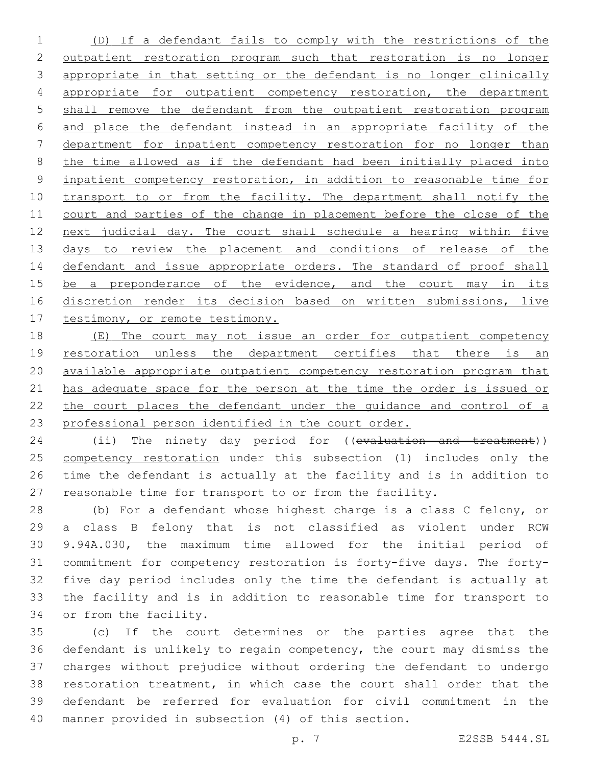(D) If a defendant fails to comply with the restrictions of the outpatient restoration program such that restoration is no longer 3 appropriate in that setting or the defendant is no longer clinically appropriate for outpatient competency restoration, the department shall remove the defendant from the outpatient restoration program and place the defendant instead in an appropriate facility of the department for inpatient competency restoration for no longer than the time allowed as if the defendant had been initially placed into inpatient competency restoration, in addition to reasonable time for 10 transport to or from the facility. The department shall notify the 11 court and parties of the change in placement before the close of the 12 next judicial day. The court shall schedule a hearing within five 13 days to review the placement and conditions of release of the 14 defendant and issue appropriate orders. The standard of proof shall 15 be a preponderance of the evidence, and the court may in its 16 discretion render its decision based on written submissions, live 17 testimony, or remote testimony.

18 (E) The court may not issue an order for outpatient competency 19 restoration unless the department certifies that there is an available appropriate outpatient competency restoration program that has adequate space for the person at the time the order is issued or the court places the defendant under the guidance and control of a professional person identified in the court order.

24 (ii) The ninety day period for ((evaluation and treatment)) 25 competency restoration under this subsection (1) includes only the time the defendant is actually at the facility and is in addition to reasonable time for transport to or from the facility.

 (b) For a defendant whose highest charge is a class C felony, or a class B felony that is not classified as violent under RCW 9.94A.030, the maximum time allowed for the initial period of commitment for competency restoration is forty-five days. The forty- five day period includes only the time the defendant is actually at the facility and is in addition to reasonable time for transport to 34 or from the facility.

 (c) If the court determines or the parties agree that the defendant is unlikely to regain competency, the court may dismiss the charges without prejudice without ordering the defendant to undergo restoration treatment, in which case the court shall order that the defendant be referred for evaluation for civil commitment in the manner provided in subsection (4) of this section.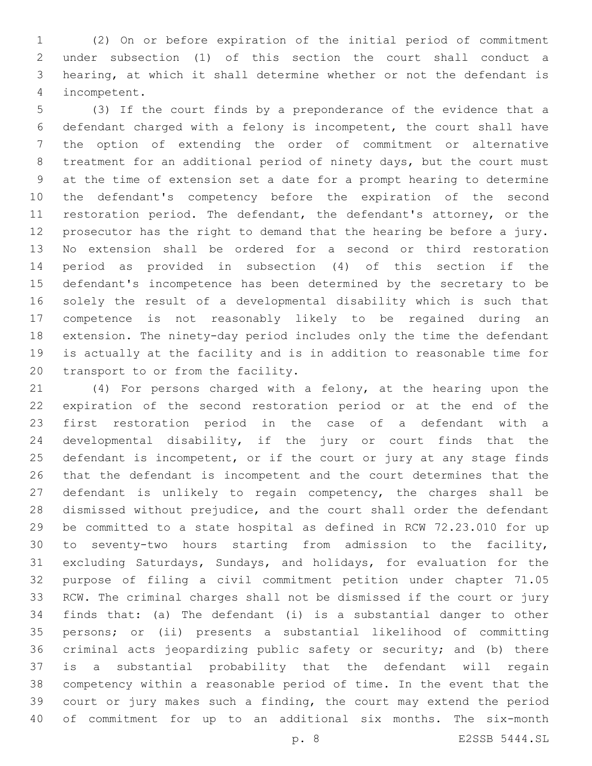(2) On or before expiration of the initial period of commitment under subsection (1) of this section the court shall conduct a hearing, at which it shall determine whether or not the defendant is incompetent.4

 (3) If the court finds by a preponderance of the evidence that a defendant charged with a felony is incompetent, the court shall have the option of extending the order of commitment or alternative treatment for an additional period of ninety days, but the court must at the time of extension set a date for a prompt hearing to determine the defendant's competency before the expiration of the second 11 restoration period. The defendant, the defendant's attorney, or the prosecutor has the right to demand that the hearing be before a jury. No extension shall be ordered for a second or third restoration period as provided in subsection (4) of this section if the defendant's incompetence has been determined by the secretary to be solely the result of a developmental disability which is such that competence is not reasonably likely to be regained during an extension. The ninety-day period includes only the time the defendant is actually at the facility and is in addition to reasonable time for 20 transport to or from the facility.

 (4) For persons charged with a felony, at the hearing upon the expiration of the second restoration period or at the end of the first restoration period in the case of a defendant with a developmental disability, if the jury or court finds that the 25 defendant is incompetent, or if the court or jury at any stage finds that the defendant is incompetent and the court determines that the defendant is unlikely to regain competency, the charges shall be dismissed without prejudice, and the court shall order the defendant be committed to a state hospital as defined in RCW 72.23.010 for up to seventy-two hours starting from admission to the facility, excluding Saturdays, Sundays, and holidays, for evaluation for the purpose of filing a civil commitment petition under chapter 71.05 RCW. The criminal charges shall not be dismissed if the court or jury finds that: (a) The defendant (i) is a substantial danger to other persons; or (ii) presents a substantial likelihood of committing criminal acts jeopardizing public safety or security; and (b) there is a substantial probability that the defendant will regain competency within a reasonable period of time. In the event that the court or jury makes such a finding, the court may extend the period of commitment for up to an additional six months. The six-month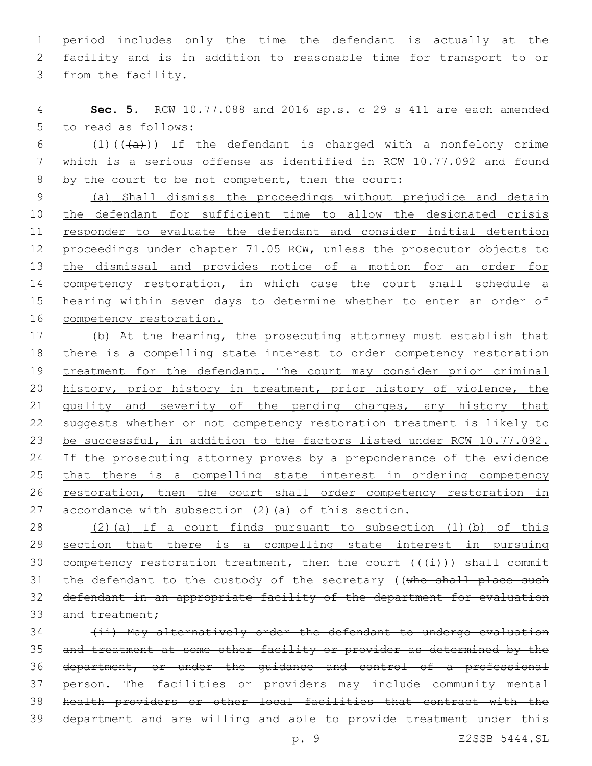1 period includes only the time the defendant is actually at the 2 facility and is in addition to reasonable time for transport to or 3 from the facility.

4 **Sec. 5.** RCW 10.77.088 and 2016 sp.s. c 29 s 411 are each amended 5 to read as follows:

6 (1)( $(\overline{a})$ ) If the defendant is charged with a nonfelony crime 7 which is a serious offense as identified in RCW 10.77.092 and found 8 by the court to be not competent, then the court:

 (a) Shall dismiss the proceedings without prejudice and detain the defendant for sufficient time to allow the designated crisis 11 responder to evaluate the defendant and consider initial detention 12 proceedings under chapter 71.05 RCW, unless the prosecutor objects to the dismissal and provides notice of a motion for an order for competency restoration, in which case the court shall schedule a hearing within seven days to determine whether to enter an order of 16 competency restoration.

17 (b) At the hearing, the prosecuting attorney must establish that 18 there is a compelling state interest to order competency restoration 19 treatment for the defendant. The court may consider prior criminal 20 history, prior history in treatment, prior history of violence, the 21 quality and severity of the pending charges, any history that 22 suggests whether or not competency restoration treatment is likely to 23 be successful, in addition to the factors listed under RCW 10.77.092. 24 If the prosecuting attorney proves by a preponderance of the evidence 25 that there is a compelling state interest in ordering competency 26 restoration, then the court shall order competency restoration in 27 accordance with subsection (2)(a) of this section.

28 (2)(a) If a court finds pursuant to subsection (1)(b) of this 29 section that there is a compelling state interest in pursuing 30 competency restoration treatment, then the court  $((+\pm))$  shall commit 31 the defendant to the custody of the secretary ((who shall place such 32 defendant in an appropriate facility of the department for evaluation 33 and treatment;

 (ii) May alternatively order the defendant to undergo evaluation and treatment at some other facility or provider as determined by the department, or under the guidance and control of a professional person. The facilities or providers may include community mental health providers or other local facilities that contract with the department and are willing and able to provide treatment under this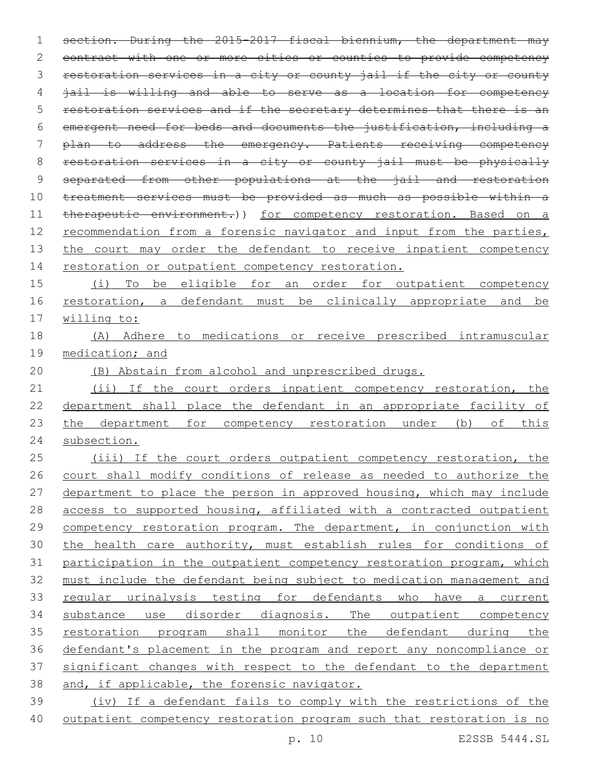section. During the 2015-2017 fiscal biennium, the department may 2 contract with one or more cities or counties to provide competency 3 restoration services in a city or county jail if the city or county jail is willing and able to serve as a location for competency restoration services and if the secretary determines that there is an emergent need for beds and documents the justification, including a plan to address the emergency. Patients receiving competency restoration services in a city or county jail must be physically 9 separated from other populations at the jail and restoration treatment services must be provided as much as possible within a 11 therapeutic environment.)) for competency restoration. Based on a recommendation from a forensic navigator and input from the parties, 13 the court may order the defendant to receive inpatient competency 14 restoration or outpatient competency restoration. (i) To be eligible for an order for outpatient competency 16 restoration, a defendant must be clinically appropriate and be willing to: (A) Adhere to medications or receive prescribed intramuscular medication; and (B) Abstain from alcohol and unprescribed drugs. (ii) If the court orders inpatient competency restoration, the department shall place the defendant in an appropriate facility of 23 the department for competency restoration under (b) of this subsection.

25 (iii) If the court orders outpatient competency restoration, the court shall modify conditions of release as needed to authorize the 27 department to place the person in approved housing, which may include access to supported housing, affiliated with a contracted outpatient competency restoration program. The department, in conjunction with the health care authority, must establish rules for conditions of participation in the outpatient competency restoration program, which must include the defendant being subject to medication management and regular urinalysis testing for defendants who have a current substance use disorder diagnosis. The outpatient competency restoration program shall monitor the defendant during the defendant's placement in the program and report any noncompliance or significant changes with respect to the defendant to the department and, if applicable, the forensic navigator. (iv) If a defendant fails to comply with the restrictions of the

outpatient competency restoration program such that restoration is no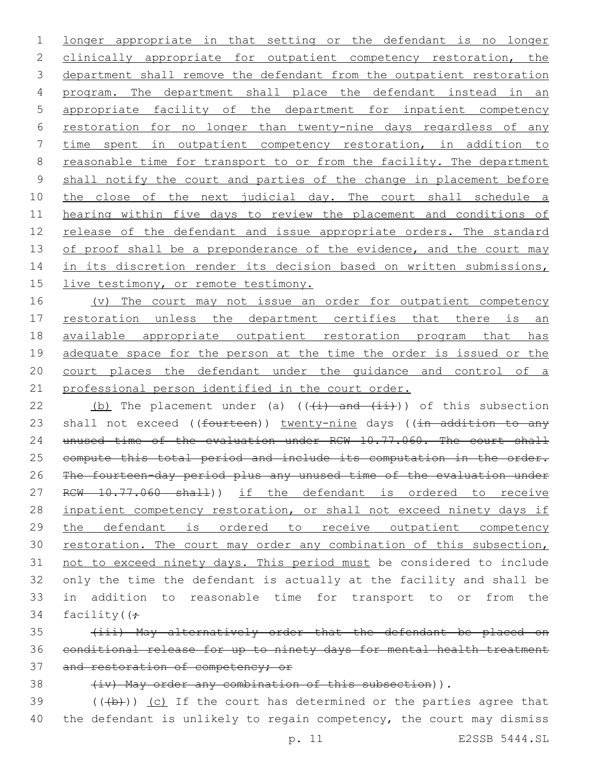1 longer appropriate in that setting or the defendant is no longer 2 clinically appropriate for outpatient competency restoration, the 3 department shall remove the defendant from the outpatient restoration 4 program. The department shall place the defendant instead in an 5 appropriate facility of the department for inpatient competency 6 restoration for no longer than twenty-nine days regardless of any 7 time spent in outpatient competency restoration, in addition to 8 reasonable time for transport to or from the facility. The department 9 shall notify the court and parties of the change in placement before 10 the close of the next judicial day. The court shall schedule a 11 hearing within five days to review the placement and conditions of 12 release of the defendant and issue appropriate orders. The standard 13 of proof shall be a preponderance of the evidence, and the court may 14 in its discretion render its decision based on written submissions, 15 live testimony, or remote testimony.

16 (v) The court may not issue an order for outpatient competency 17 restoration unless the department certifies that there is an 18 available appropriate outpatient restoration program that has 19 adequate space for the person at the time the order is issued or the 20 court places the defendant under the guidance and control of a 21 professional person identified in the court order.

22 (b) The placement under (a)  $((+i)$  and  $(i+1)$ ) of this subsection 23 shall not exceed ((fourteen)) twenty-nine days ((in addition to any 24 unused time of the evaluation under RCW 10.77.060. The court shall 25 compute this total period and include its computation in the order. 26 The fourteen-day period plus any unused time of the evaluation under 27 RCW 10.77.060 shall)) if the defendant is ordered to receive 28 inpatient competency restoration, or shall not exceed ninety days if 29 the defendant is ordered to receive outpatient competency 30 restoration. The court may order any combination of this subsection, 31 not to exceed ninety days. This period must be considered to include 32 only the time the defendant is actually at the facility and shall be 33 in addition to reasonable time for transport to or from the 34 facility( $(f -$ 

35 (iii) May alternatively order that the defendant be placed on 36 conditional release for up to ninety days for mental health treatment 37 and restoration of competency; or

38 (iv) May order any combination of this subsection)).

 $39$  (((b))) (c) If the court has determined or the parties agree that 40 the defendant is unlikely to regain competency, the court may dismiss